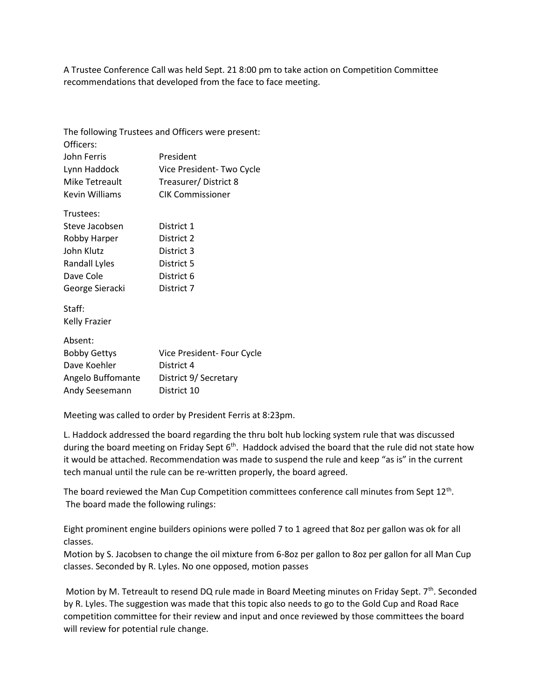A Trustee Conference Call was held Sept. 21 8:00 pm to take action on Competition Committee recommendations that developed from the face to face meeting.

| Officers:             | The following Trustees and Officers were present: |
|-----------------------|---------------------------------------------------|
| John Ferris           | President                                         |
| Lynn Haddock          | Vice President- Two Cycle                         |
| Mike Tetreault        | Treasurer/District 8                              |
| <b>Kevin Williams</b> | <b>CIK Commissioner</b>                           |
| Trustees:             |                                                   |
| Steve Jacobsen        | District 1                                        |
| Robby Harper          | District 2                                        |
| John Klutz            | District 3                                        |
| Randall Lyles         | District 5                                        |
| Dave Cole             | District 6                                        |
| George Sieracki       | District 7                                        |
| Staff:                |                                                   |
| <b>Kelly Frazier</b>  |                                                   |
| Absent:               |                                                   |
| <b>Bobby Gettys</b>   | Vice President- Four Cycle                        |
| Dave Koehler          | District 4                                        |
| Angelo Buffomante     | District 9/ Secretary                             |
| Andy Seesemann        | District 10                                       |

Meeting was called to order by President Ferris at 8:23pm.

L. Haddock addressed the board regarding the thru bolt hub locking system rule that was discussed during the board meeting on Friday Sept 6<sup>th</sup>. Haddock advised the board that the rule did not state how it would be attached. Recommendation was made to suspend the rule and keep "as is" in the current tech manual until the rule can be re-written properly, the board agreed.

The board reviewed the Man Cup Competition committees conference call minutes from Sept  $12^{th}$ . The board made the following rulings:

Eight prominent engine builders opinions were polled 7 to 1 agreed that 8oz per gallon was ok for all classes.

Motion by S. Jacobsen to change the oil mixture from 6-8oz per gallon to 8oz per gallon for all Man Cup classes. Seconded by R. Lyles. No one opposed, motion passes

Motion by M. Tetreault to resend DQ rule made in Board Meeting minutes on Friday Sept.  $7<sup>th</sup>$ . Seconded by R. Lyles. The suggestion was made that this topic also needs to go to the Gold Cup and Road Race competition committee for their review and input and once reviewed by those committees the board will review for potential rule change.